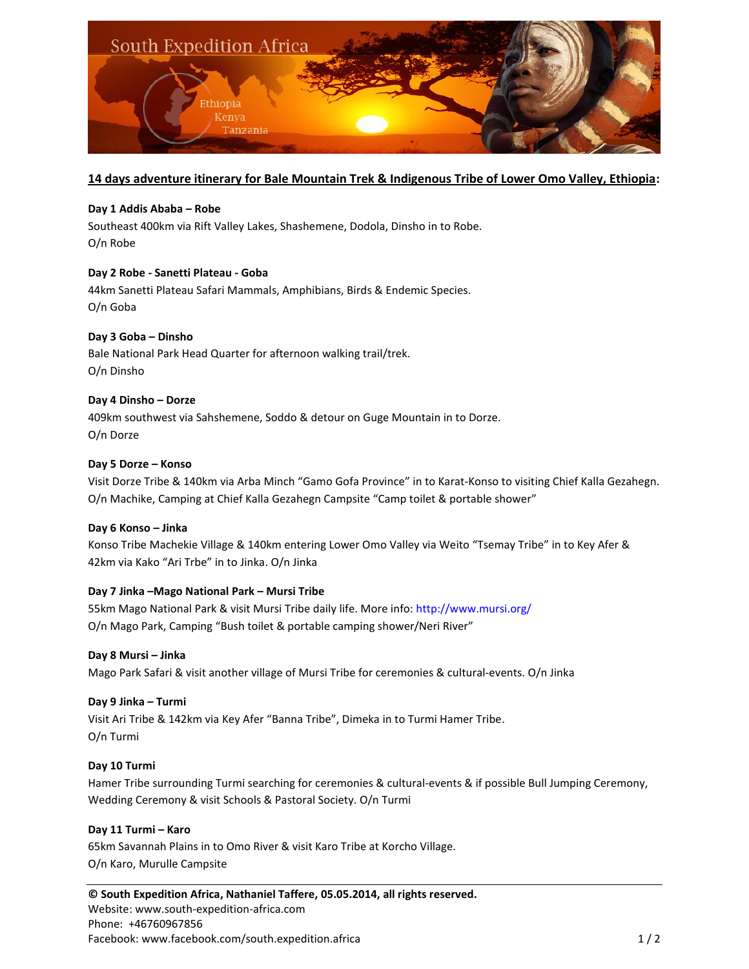

# **14 days adventure itinerary for Bale Mountain Trek & Indigenous Tribe of Lower Omo Valley, Ethiopia:**

# **Day 1 Addis Ababa – Robe**

Southeast 400km via Rift Valley Lakes, Shashemene, Dodola, Dinsho in to Robe. O/n Robe

# **Day 2 Robe - Sanetti Plateau - Goba**

44km Sanetti Plateau Safari Mammals, Amphibians, Birds & Endemic Species. O/n Goba

# **Day 3 Goba – Dinsho** Bale National Park Head Quarter for afternoon walking trail/trek. O/n Dinsho

#### **Day 4 Dinsho – Dorze**

409km southwest via Sahshemene, Soddo & detour on Guge Mountain in to Dorze. O/n Dorze

#### **Day 5 Dorze – Konso**

Visit Dorze Tribe & 140km via Arba Minch "Gamo Gofa Province" in to Karat-Konso to visiting Chief Kalla Gezahegn. O/n Machike, Camping at Chief Kalla Gezahegn Campsite "Camp toilet & portable shower"

#### **Day 6 Konso – Jinka**

Konso Tribe Machekie Village & 140km entering Lower Omo Valley via Weito "Tsemay Tribe" in to Key Afer & 42km via Kako "Ari Trbe" in to Jinka. O/n Jinka

#### **Day 7 Jinka –Mago National Park – Mursi Tribe**

55km Mago National Park & visit Mursi Tribe daily life. More info: http://www.mursi.org/ O/n Mago Park, Camping "Bush toilet & portable camping shower/Neri River"

#### **Day 8 Mursi – Jinka**

Mago Park Safari & visit another village of Mursi Tribe for ceremonies & cultural-events. O/n Jinka

#### **Day 9 Jinka – Turmi**

Visit Ari Tribe & 142km via Key Afer "Banna Tribe", Dimeka in to Turmi Hamer Tribe. O/n Turmi

#### **Day 10 Turmi**

Hamer Tribe surrounding Turmi searching for ceremonies & cultural-events & if possible Bull Jumping Ceremony, Wedding Ceremony & visit Schools & Pastoral Society. O/n Turmi

#### **Day 11 Turmi – Karo**

65km Savannah Plains in to Omo River & visit Karo Tribe at Korcho Village. O/n Karo, Murulle Campsite